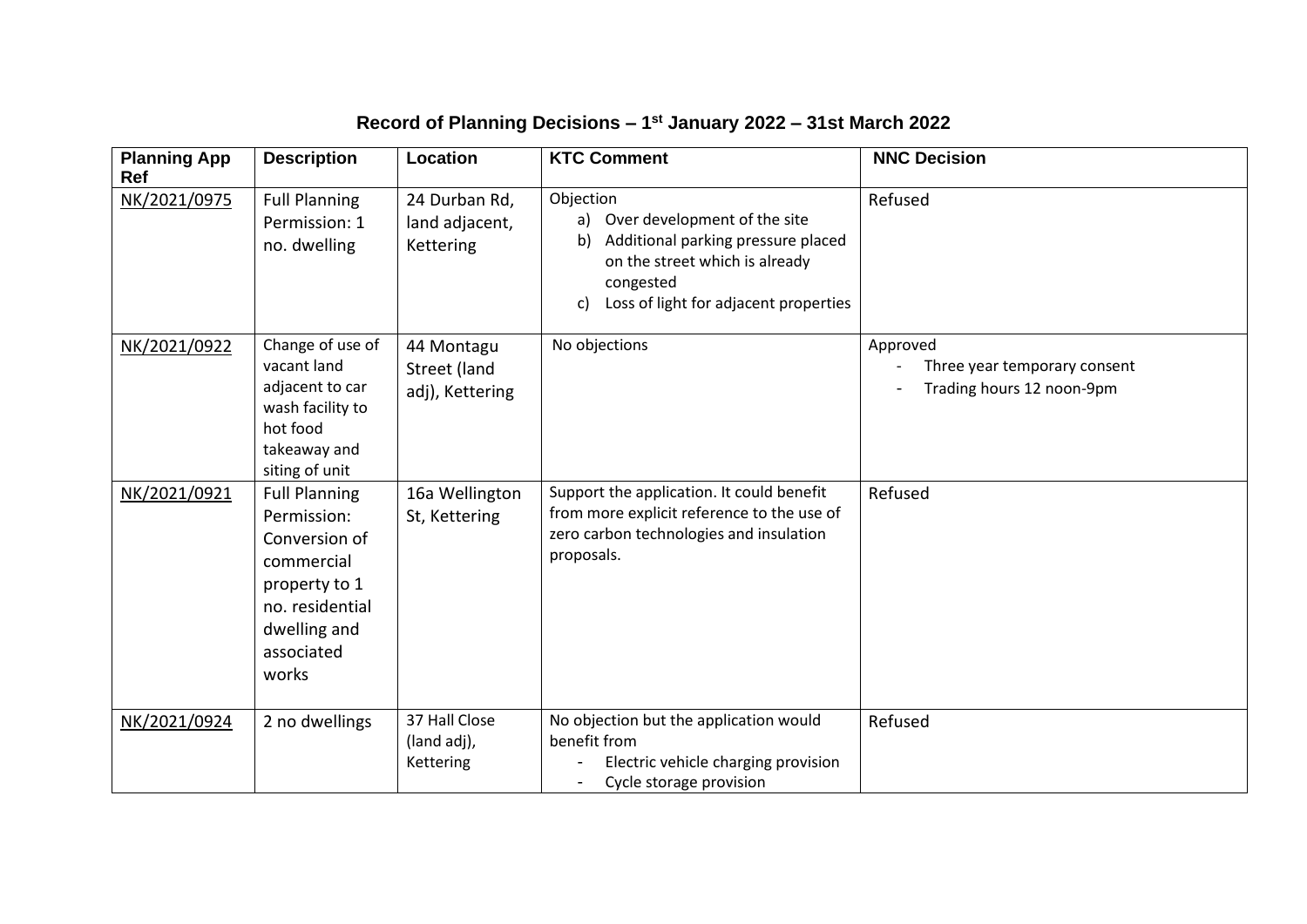## **Record of Planning Decisions – 1 st January 2022 – 31st March 2022**

| <b>Planning App</b><br>Ref | <b>Description</b>                                                                                                                            | Location                                      | <b>KTC Comment</b>                                                                                                                                                                        | <b>NNC Decision</b>                                                   |  |
|----------------------------|-----------------------------------------------------------------------------------------------------------------------------------------------|-----------------------------------------------|-------------------------------------------------------------------------------------------------------------------------------------------------------------------------------------------|-----------------------------------------------------------------------|--|
| NK/2021/0975               | <b>Full Planning</b><br>Permission: 1<br>no. dwelling                                                                                         | 24 Durban Rd,<br>land adjacent,<br>Kettering  | Objection<br>Over development of the site<br>a)<br>Additional parking pressure placed<br>b)<br>on the street which is already<br>congested<br>Loss of light for adjacent properties<br>c) | Refused                                                               |  |
| NK/2021/0922               | Change of use of<br>vacant land<br>adjacent to car<br>wash facility to<br>hot food<br>takeaway and<br>siting of unit                          | 44 Montagu<br>Street (land<br>adj), Kettering | No objections                                                                                                                                                                             | Approved<br>Three year temporary consent<br>Trading hours 12 noon-9pm |  |
| NK/2021/0921               | <b>Full Planning</b><br>Permission:<br>Conversion of<br>commercial<br>property to 1<br>no. residential<br>dwelling and<br>associated<br>works | 16a Wellington<br>St, Kettering               | Support the application. It could benefit<br>from more explicit reference to the use of<br>zero carbon technologies and insulation<br>proposals.                                          | Refused                                                               |  |
| NK/2021/0924               | 2 no dwellings                                                                                                                                | 37 Hall Close<br>(land adj),<br>Kettering     | No objection but the application would<br>benefit from<br>Electric vehicle charging provision<br>Cycle storage provision                                                                  | Refused                                                               |  |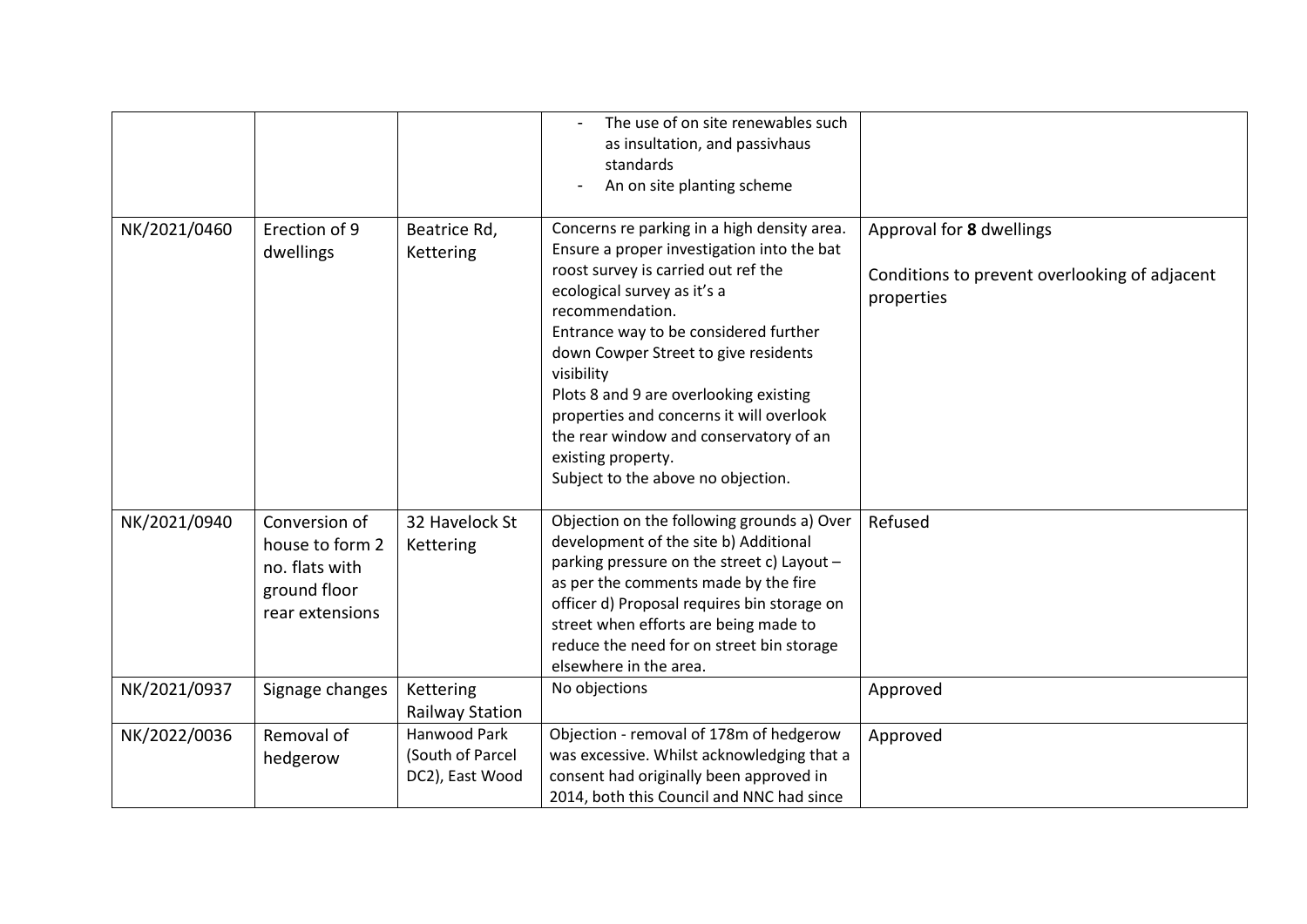|              |                                                                                       |                                                     | The use of on site renewables such<br>as insultation, and passivhaus<br>standards<br>An on site planting scheme                                                                                                                                                                                                                                                                                                                                                               |                                                                                         |
|--------------|---------------------------------------------------------------------------------------|-----------------------------------------------------|-------------------------------------------------------------------------------------------------------------------------------------------------------------------------------------------------------------------------------------------------------------------------------------------------------------------------------------------------------------------------------------------------------------------------------------------------------------------------------|-----------------------------------------------------------------------------------------|
| NK/2021/0460 | Erection of 9<br>dwellings                                                            | Beatrice Rd,<br>Kettering                           | Concerns re parking in a high density area.<br>Ensure a proper investigation into the bat<br>roost survey is carried out ref the<br>ecological survey as it's a<br>recommendation.<br>Entrance way to be considered further<br>down Cowper Street to give residents<br>visibility<br>Plots 8 and 9 are overlooking existing<br>properties and concerns it will overlook<br>the rear window and conservatory of an<br>existing property.<br>Subject to the above no objection. | Approval for 8 dwellings<br>Conditions to prevent overlooking of adjacent<br>properties |
| NK/2021/0940 | Conversion of<br>house to form 2<br>no. flats with<br>ground floor<br>rear extensions | 32 Havelock St<br>Kettering                         | Objection on the following grounds a) Over<br>development of the site b) Additional<br>parking pressure on the street c) Layout -<br>as per the comments made by the fire<br>officer d) Proposal requires bin storage on<br>street when efforts are being made to<br>reduce the need for on street bin storage<br>elsewhere in the area.                                                                                                                                      | Refused                                                                                 |
| NK/2021/0937 | Signage changes                                                                       | Kettering<br><b>Railway Station</b>                 | No objections                                                                                                                                                                                                                                                                                                                                                                                                                                                                 | Approved                                                                                |
| NK/2022/0036 | Removal of<br>hedgerow                                                                | Hanwood Park<br>(South of Parcel<br>DC2), East Wood | Objection - removal of 178m of hedgerow<br>was excessive. Whilst acknowledging that a<br>consent had originally been approved in<br>2014, both this Council and NNC had since                                                                                                                                                                                                                                                                                                 | Approved                                                                                |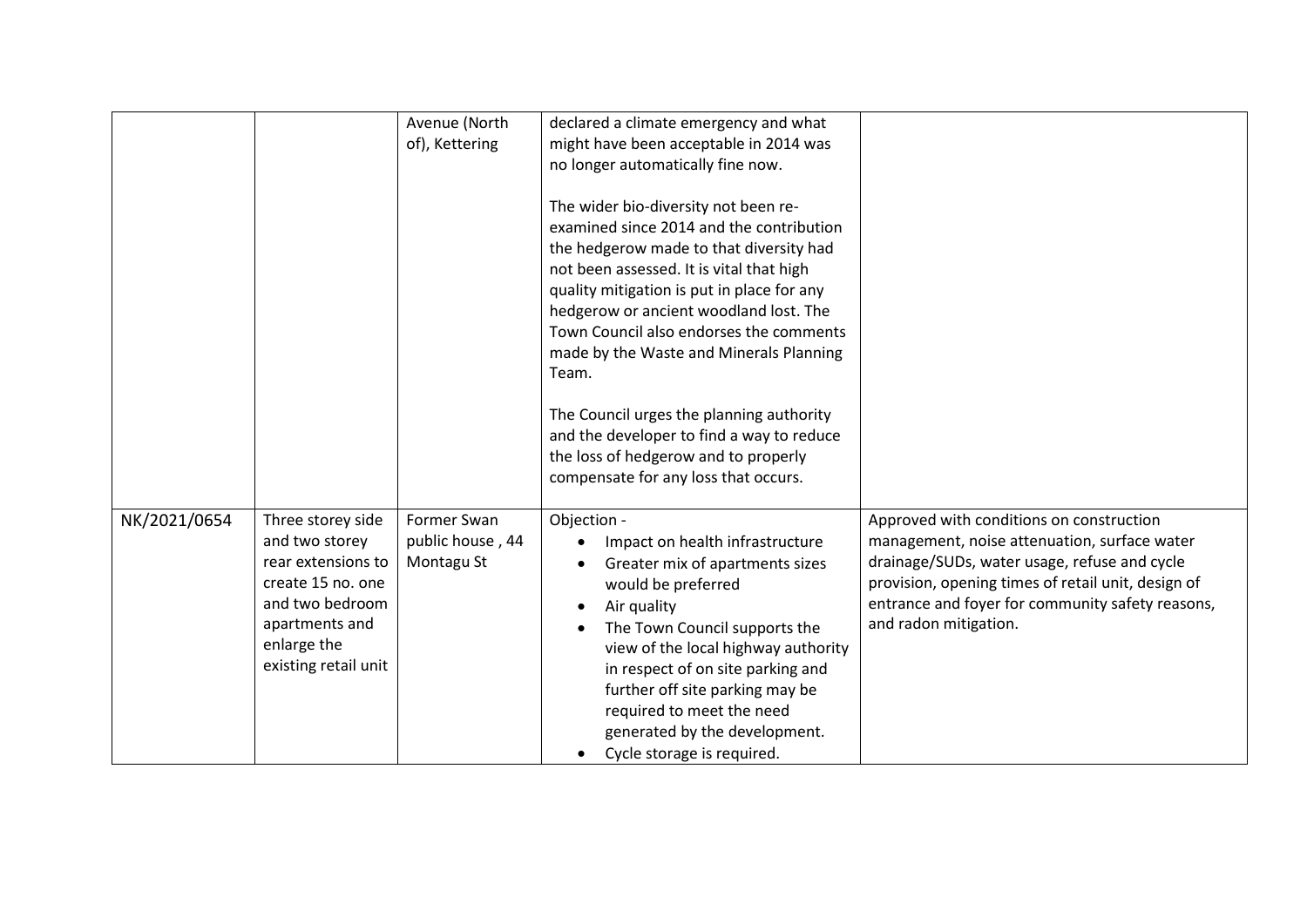|              |                                                                                                                                                            | Avenue (North<br>of), Kettering               | declared a climate emergency and what<br>might have been acceptable in 2014 was<br>no longer automatically fine now.<br>The wider bio-diversity not been re-<br>examined since 2014 and the contribution<br>the hedgerow made to that diversity had<br>not been assessed. It is vital that high<br>quality mitigation is put in place for any<br>hedgerow or ancient woodland lost. The<br>Town Council also endorses the comments<br>made by the Waste and Minerals Planning<br>Team.<br>The Council urges the planning authority<br>and the developer to find a way to reduce<br>the loss of hedgerow and to properly<br>compensate for any loss that occurs. |                                                                                                                                                                                                                                                                             |
|--------------|------------------------------------------------------------------------------------------------------------------------------------------------------------|-----------------------------------------------|-----------------------------------------------------------------------------------------------------------------------------------------------------------------------------------------------------------------------------------------------------------------------------------------------------------------------------------------------------------------------------------------------------------------------------------------------------------------------------------------------------------------------------------------------------------------------------------------------------------------------------------------------------------------|-----------------------------------------------------------------------------------------------------------------------------------------------------------------------------------------------------------------------------------------------------------------------------|
| NK/2021/0654 | Three storey side<br>and two storey<br>rear extensions to<br>create 15 no. one<br>and two bedroom<br>apartments and<br>enlarge the<br>existing retail unit | Former Swan<br>public house, 44<br>Montagu St | Objection -<br>Impact on health infrastructure<br>Greater mix of apartments sizes<br>would be preferred<br>Air quality<br>The Town Council supports the<br>view of the local highway authority<br>in respect of on site parking and<br>further off site parking may be<br>required to meet the need<br>generated by the development.<br>Cycle storage is required.                                                                                                                                                                                                                                                                                              | Approved with conditions on construction<br>management, noise attenuation, surface water<br>drainage/SUDs, water usage, refuse and cycle<br>provision, opening times of retail unit, design of<br>entrance and foyer for community safety reasons,<br>and radon mitigation. |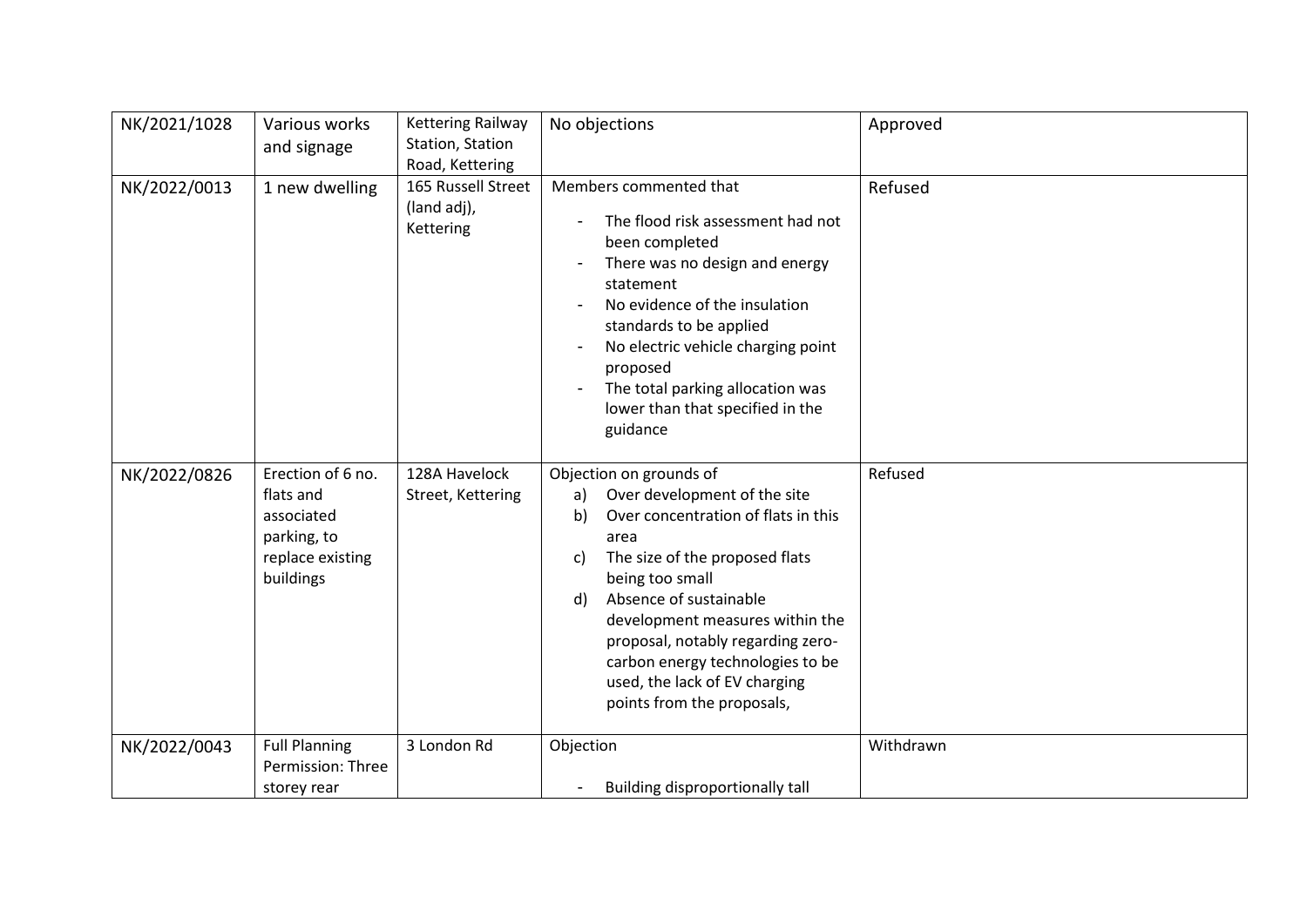| NK/2021/1028 | Various works<br>and signage                                                                 | <b>Kettering Railway</b><br>Station, Station<br>Road, Kettering | No objections                                                                                                                                                                                                                                                                                                                                                                            | Approved  |
|--------------|----------------------------------------------------------------------------------------------|-----------------------------------------------------------------|------------------------------------------------------------------------------------------------------------------------------------------------------------------------------------------------------------------------------------------------------------------------------------------------------------------------------------------------------------------------------------------|-----------|
| NK/2022/0013 | 1 new dwelling                                                                               | 165 Russell Street<br>(land adj),<br>Kettering                  | Members commented that<br>The flood risk assessment had not<br>been completed<br>There was no design and energy<br>statement<br>No evidence of the insulation<br>standards to be applied<br>No electric vehicle charging point<br>proposed<br>The total parking allocation was<br>lower than that specified in the<br>guidance                                                           | Refused   |
| NK/2022/0826 | Erection of 6 no.<br>flats and<br>associated<br>parking, to<br>replace existing<br>buildings | 128A Havelock<br>Street, Kettering                              | Objection on grounds of<br>Over development of the site<br>a)<br>Over concentration of flats in this<br>b)<br>area<br>The size of the proposed flats<br>c)<br>being too small<br>Absence of sustainable<br>d)<br>development measures within the<br>proposal, notably regarding zero-<br>carbon energy technologies to be<br>used, the lack of EV charging<br>points from the proposals, | Refused   |
| NK/2022/0043 | <b>Full Planning</b><br>Permission: Three<br>storey rear                                     | 3 London Rd                                                     | Objection<br>Building disproportionally tall                                                                                                                                                                                                                                                                                                                                             | Withdrawn |